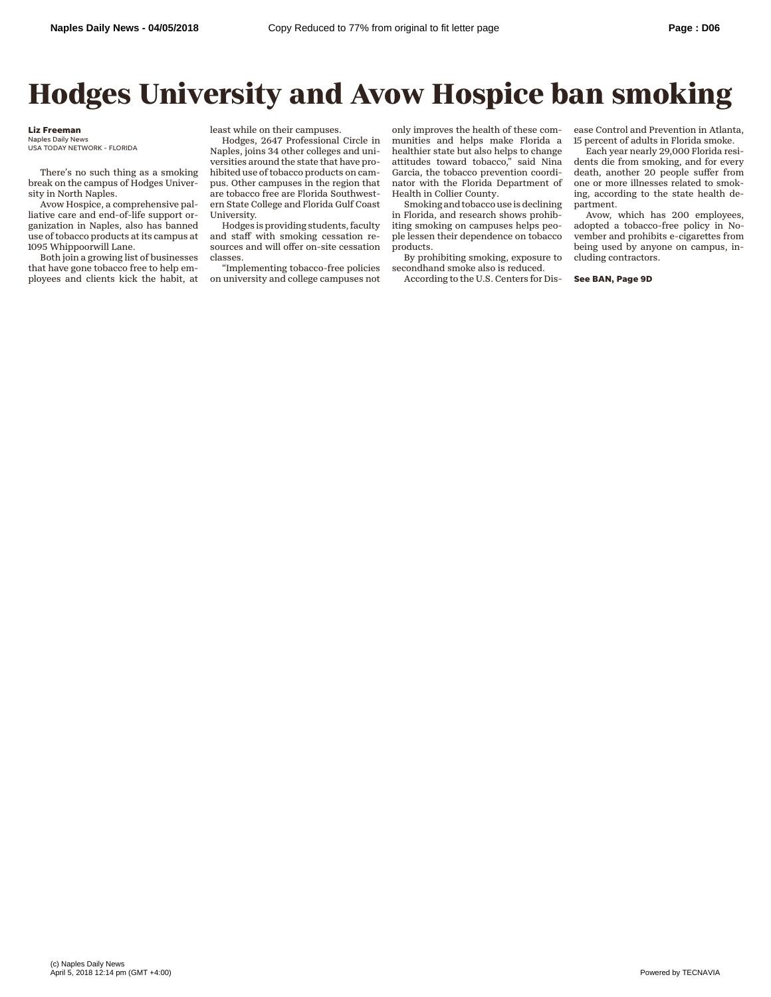## **Hodges University and Avow Hospice ban smoking**

## **Liz Freeman**

USA TODAY NETWORK - FLORIDA

There's no such thing as a smoking break on the campus of Hodges University in North Naples.

Avow Hospice, a comprehensive palliative care and end-of-life support organization in Naples, also has banned use of tobacco products at its campus at 1095 Whippoorwill Lane.

Both join a growing list of businesses that have gone tobacco free to help employees and clients kick the habit, at least while on their campuses.

Hodges, 2647 Professional Circle in Naples, joins 34 other colleges and universities around the state that have prohibited use of tobacco products on campus. Other campuses in the region that are tobacco free are Florida Southwestern State College and Florida Gulf Coast University.

Hodges is providing students, faculty and staff with smoking cessation resources and will offer on-site cessation classes.

"Implementing tobacco-free policies on university and college campuses not

only improves the health of these communities and helps make Florida a healthier state but also helps to change attitudes toward tobacco," said Nina Garcia, the tobacco prevention coordinator with the Florida Department of Health in Collier County.

Smoking and tobacco use is declining in Florida, and research shows prohibiting smoking on campuses helps people lessen their dependence on tobacco products.

By prohibiting smoking, exposure to secondhand smoke also is reduced.

According to the U.S. Centers for Dis-

ease Control and Prevention in Atlanta, 15 percent of adults in Florida smoke.

Each year nearly 29,000 Florida residents die from smoking, and for every death, another 20 people suffer from one or more illnesses related to smoking, according to the state health department.

Avow, which has 200 employees, adopted a tobacco-free policy in November and prohibits e-cigarettes from being used by anyone on campus, including contractors.

**See BAN, Page 9D**